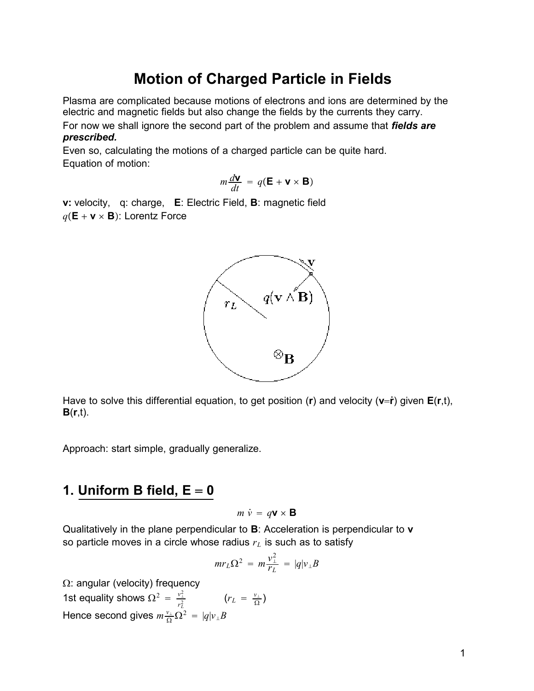# **Motion of Charged Particle in Fields**

Plasma are complicated because motions of electrons and ions are determined by the electric and magnetic fields but also change the fields by the currents they carry. For now we shall ignore the second part of the problem and assume that *fields are prescribed.*

Even so, calculating the motions of a charged particle can be quite hard. Equation of motion:

$$
m\frac{d\mathbf{V}}{dt} = q(\mathbf{E} + \mathbf{V} \times \mathbf{B})
$$

**v:** velocity, q: charge, **E**: Electric Field, **B**: magnetic field  $q(\mathbf{E} + \mathbf{v} \times \mathbf{B})$ : Lorentz Force



Have to solve this differential equation, to get position (**r**) and velocity (**vr**̇) given **E**(**r**,t), **B**(**r**,t).

Approach: start simple, gradually generalize.

## **1.** Uniform B field,  $E = 0$

$$
m \dot{v} = q\mathbf{v} \times \mathbf{B}
$$

Qualitatively in the plane perpendicular to **B**: Acceleration is perpendicular to **v** so particle moves in a circle whose radius  $r<sub>L</sub>$  is such as to satisfy

$$
mr_L\Omega^2\,=\,m\frac{v_\perp^2}{r_L}\,=\,|q|v_\perp B
$$

 $\Omega$ : angular (velocity) frequency 1st equality shows  $\Omega^2 = \frac{v_{\perp}^2}{2}$ *rL*  $\frac{1}{2}$   $(r_L = \frac{v_{\perp}}{\Omega})$ Hence second gives  $m \frac{v_{\perp}}{\Omega} \Omega^2 = |q| v_{\perp} B$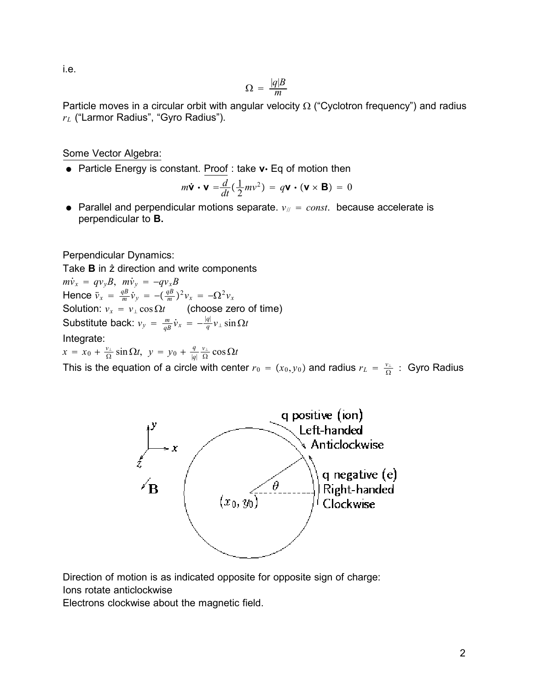i.e.

$$
\Omega = \frac{|q|B}{m}
$$

Particle moves in a circular orbit with angular velocity  $\Omega$  ("Cyclotron frequency") and radius *rL* ("Larmor Radius", "Gyro Radius").

Some Vector Algebra:

• Particle Energy is constant. Proof : take v · Eq of motion then

$$
m\dot{\mathbf{v}}\cdot\mathbf{v}=\frac{d}{dt}(\frac{1}{2}mv^2)=q\mathbf{v}\cdot(\mathbf{v}\times\mathbf{B})=0
$$

• Parallel and perpendicular motions separate.  $v_{\parallel} = const.$  because accelerate is perpendicular to **B.**

Perpendicular Dynamics:

Take **B** in  $\hat{z}$  direction and write components  $m\dot{v}_x = qv_yB$ ,  $m\dot{v}_y = -qv_xB$ Hence  $\ddot{v}_x = \frac{qB}{m} \dot{v}_y = -(\frac{qB}{m})^2 v_x = -\Omega^2 v_x$ Solution:  $v_x = v_\perp \cos \Omega t$  (choose zero of time) Substitute back:  $v_y = \frac{m}{qB} \dot{v}_x = -\frac{|q|}{q} v_\perp \sin \Omega t$ Integrate:  $x = x_0 + \frac{v_1}{\Omega} \sin \Omega t, \ y = y_0 + \frac{q}{|q|}$  $\frac{v_{\perp}}{\Omega}$  cos  $\Omega t$ This is the equation of a circle with center  $r_0 = (x_0, y_0)$  and radius  $r_L = \frac{v_\perp}{\Omega}$  : Gyro Radius



Direction of motion is as indicated opposite for opposite sign of charge:

Ions rotate anticlockwise

Electrons clockwise about the magnetic field.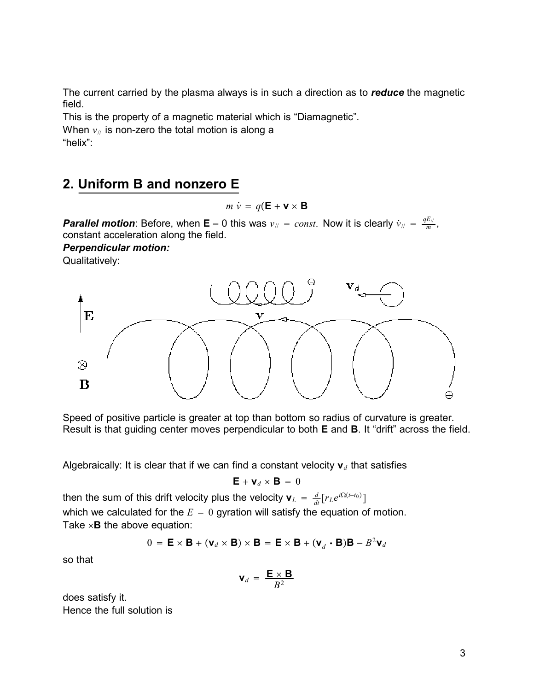The current carried by the plasma always is in such a direction as to *reduce* the magnetic field.

This is the property of a magnetic material which is "Diamagnetic".

When  $v_{\ell}$  is non-zero the total motion is along a

"helix":

# **2. Uniform B and nonzero E**

 $m \dot{v} = q(\mathbf{E} + \mathbf{v} \times \mathbf{B})$ 

*Parallel motion*: Before, when **E** = 0 this was  $v_{\text{N}}$  = const. Now it is clearly  $\dot{v}_{\text{N}}$  =  $\frac{qE_{\text{N}}}{m}$ , constant acceleration along the field.

*Perpendicular motion:*

Qualitatively:



Speed of positive particle is greater at top than bottom so radius of curvature is greater. Result is that guiding center moves perpendicular to both **E** and **B**. It "drift" across the field.

Algebraically: It is clear that if we can find a constant velocity  $\mathbf{v}_d$  that satisfies

$$
\mathbf{E} + \mathbf{v}_d \times \mathbf{B} = 0
$$

then the sum of this drift velocity plus the velocity  $\mathbf{v}_{L}$  =  $\frac{d}{dt}[r_{L}e^{i\Omega(t-t_{0})}]$ which we calculated for the  $E = 0$  gyration will satisfy the equation of motion. Take  $\times$ **B** the above equation:

$$
0 = \mathbf{E} \times \mathbf{B} + (\mathbf{v}_d \times \mathbf{B}) \times \mathbf{B} = \mathbf{E} \times \mathbf{B} + (\mathbf{v}_d \cdot \mathbf{B})\mathbf{B} - B^2 \mathbf{v}_d
$$

so that

$$
\mathbf{v}_d = \frac{\mathbf{E} \times \mathbf{B}}{B^2}
$$

does satisfy it. Hence the full solution is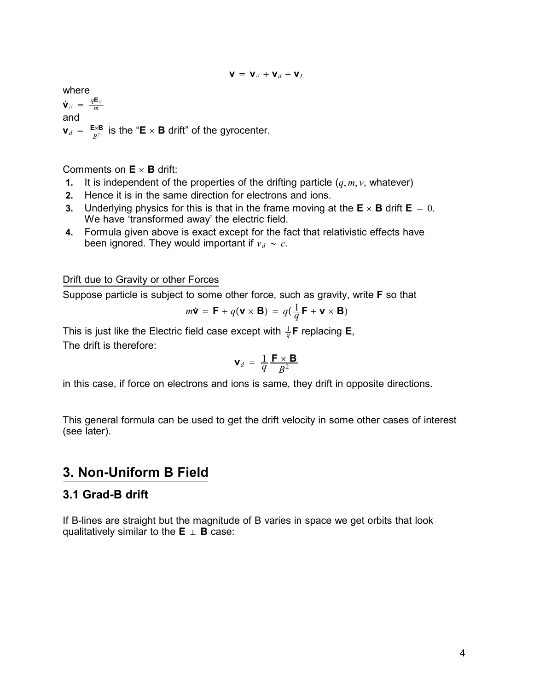$$
\mathbf{V} = \mathbf{V}_{//} + \mathbf{V}_{d} + \mathbf{V}_{L}
$$

where  $\dot{\mathbf{V}}_{\text{||}} = \frac{q\mathbf{E}_{\text{||}}}{m}$ and  $\mathbf{v}_d = \frac{\mathbf{E} \times \mathbf{B}}{B^2}$  is the "**E**  $\times$  **B** drift" of the gyrocenter.

Comments on  $E \times B$  drift:

- **1.** It is independent of the properties of the drifting particle  $(q, m, v, w)$  whatever)
- **2.** Hence it is in the same direction for electrons and ions.
- **3.** Underlying physics for this is that in the frame moving at the  $\mathbf{E} \times \mathbf{B}$  drift  $\mathbf{E} = 0$ . We have 'transformed away' the electric field.
- **4.** Formula given above is exact except for the fact that relativistic effects have been ignored. They would important if  $v_d \sim c$ .

Drift due to Gravity or other Forces

Suppose particle is subject to some other force, such as gravity, write **F** so that

$$
m\dot{\mathbf{v}} = \mathbf{F} + q(\mathbf{v} \times \mathbf{B}) = q(\frac{1}{q}\mathbf{F} + \mathbf{v} \times \mathbf{B})
$$

This is just like the Electric field case except with  $\frac{1}{q}$ **F** replacing **E**, The drift is therefore:

$$
\mathbf{V}_d = \frac{1}{q} \frac{\mathbf{F} \times \mathbf{B}}{B^2}
$$

in this case, if force on electrons and ions is same, they drift in opposite directions.

This general formula can be used to get the drift velocity in some other cases of interest (see later).

## **3. Non-Uniform B Field**

### **3.1 Grad-B drift**

If B-lines are straight but the magnitude of B varies in space we get orbits that look qualitatively similar to the  $E \perp B$  case: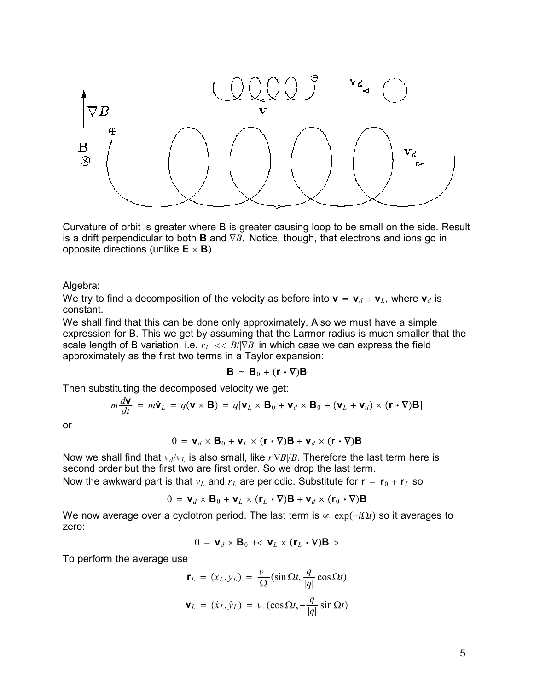

Curvature of orbit is greater where B is greater causing loop to be small on the side. Result is a drift perpendicular to both **B** and ∇*B*. Notice, though, that electrons and ions go in opposite directions (unlike  $E \times B$ ).

Algebra:

We try to find a decomposition of the velocity as before into  $\mathbf{v} = \mathbf{v}_d + \mathbf{v}_L$ , where  $\mathbf{v}_d$  is constant.

We shall find that this can be done only approximately. Also we must have a simple expression for B. This we get by assuming that the Larmor radius is much smaller that the scale length of B variation. i.e.  $r_L \ll B/\nabla B$  in which case we can express the field approximately as the first two terms in a Taylor expansion:

$$
\mathbf{B} \simeq \mathbf{B}_0 + (\mathbf{r} \cdot \nabla) \mathbf{B}
$$

Then substituting the decomposed velocity we get:

$$
m\frac{d\mathbf{v}}{dt} = m\dot{\mathbf{v}}_L = q(\mathbf{v} \times \mathbf{B}) = q[\mathbf{v}_L \times \mathbf{B}_0 + \mathbf{v}_d \times \mathbf{B}_0 + (\mathbf{v}_L + \mathbf{v}_d) \times (\mathbf{r} \cdot \nabla)\mathbf{B}]
$$

or

$$
0 = \mathbf{v}_d \times \mathbf{B}_0 + \mathbf{v}_L \times (\mathbf{r} \cdot \nabla)\mathbf{B} + \mathbf{v}_d \times (\mathbf{r} \cdot \nabla)\mathbf{B}
$$

Now we shall find that  $v_d/v_L$  is also small, like  $r$ |∇*B*|/*B*. Therefore the last term here is second order but the first two are first order. So we drop the last term.

Now the awkward part is that  $v_L$  and  $r_L$  are periodic. Substitute for  $\mathbf{r} = \mathbf{r}_0 + \mathbf{r}_L$  so

$$
0 = \mathbf{v}_d \times \mathbf{B}_0 + \mathbf{v}_L \times (\mathbf{r}_L \cdot \nabla)\mathbf{B} + \mathbf{v}_d \times (\mathbf{r}_0 \cdot \nabla)\mathbf{B}
$$

We now average over a cyclotron period. The last term is  $\propto$  exp(*-iΩt*) so it averages to zero:

$$
0 = \mathbf{V}_d \times \mathbf{B}_0 + < \mathbf{V}_L \times (\mathbf{r}_L \cdot \nabla) \mathbf{B} >
$$

To perform the average use

$$
\mathbf{r}_L = (x_L, y_L) = \frac{v_\perp}{\Omega} (\sin \Omega t, \frac{q}{|q|} \cos \Omega t)
$$

$$
\mathbf{V}_L = (\dot{x}_L, \dot{y}_L) = v_\perp (\cos \Omega t, -\frac{q}{|q|} \sin \Omega t)
$$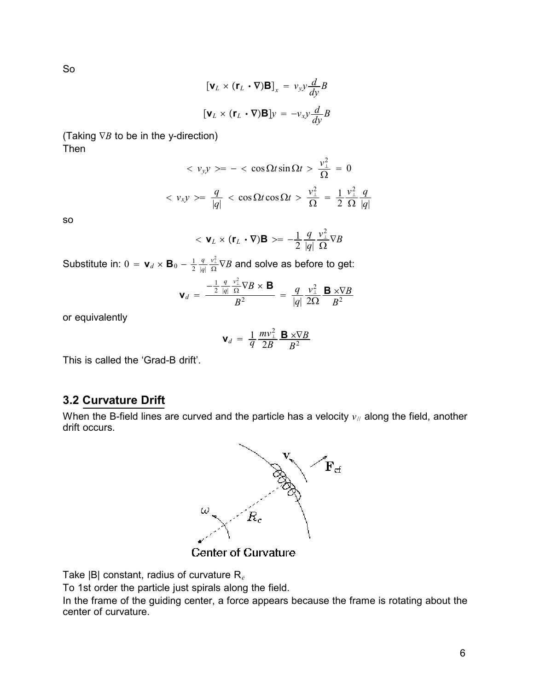So

$$
[\mathbf{v}_L \times (\mathbf{r}_L \cdot \nabla)\mathbf{B}]_x = v_{yy} \frac{d}{dy} B
$$

$$
[\mathbf{v}_L \times (\mathbf{r}_L \cdot \nabla)\mathbf{B}]_y = -v_{xy} \frac{d}{dy} B
$$

(Taking ∇*B* to be in the y-direction) Then

$$
\langle v_y y \rangle = -\langle \cos \Omega t \sin \Omega t \rangle \frac{v_{\perp}^2}{\Omega} = 0
$$
  

$$
\langle v_x y \rangle = \frac{q}{|q|} \langle \cos \Omega t \cos \Omega t \rangle \frac{v_{\perp}^2}{\Omega} = \frac{1}{2} \frac{v_{\perp}^2}{\Omega} \frac{q}{|q|}
$$

so

$$
\langle \mathbf{v}_L \times (\mathbf{r}_L \cdot \nabla) \mathbf{B} \rangle = -\frac{1}{2} \frac{q}{|q|} \frac{v_\perp^2}{\Omega} \nabla B
$$

Substitute in:  $0 = \mathbf{v}_d \times \mathbf{B}_0 - \frac{1}{2}$ *q* |*q*|  $\frac{v_\perp^2}{\Omega} \nabla B$  and solve as before to get:

$$
\mathbf{V}_d = \frac{-\frac{1}{2} \frac{q}{|q|} \frac{v_1^2}{\Omega} \nabla B \times \mathbf{B}}{B^2} = \frac{q}{|q|} \frac{v_1^2}{2\Omega} \frac{\mathbf{B} \times \nabla B}{B^2}
$$

or equivalently

$$
\mathbf{V}_d = \frac{1}{q} \frac{m v_{\perp}^2}{2B} \frac{\mathbf{B} \times \nabla B}{B^2}
$$

This is called the 'Grad-B drift'.

## **3.2 Curvature Drift**

When the B-field lines are curved and the particle has a velocity  $v_{\text{N}}$  along the field, another drift occurs.



**Center of Curvature** 

Take |B| constant, radius of curvature R*<sup>e</sup>*

To 1st order the particle just spirals along the field.

In the frame of the guiding center, a force appears because the frame is rotating about the center of curvature.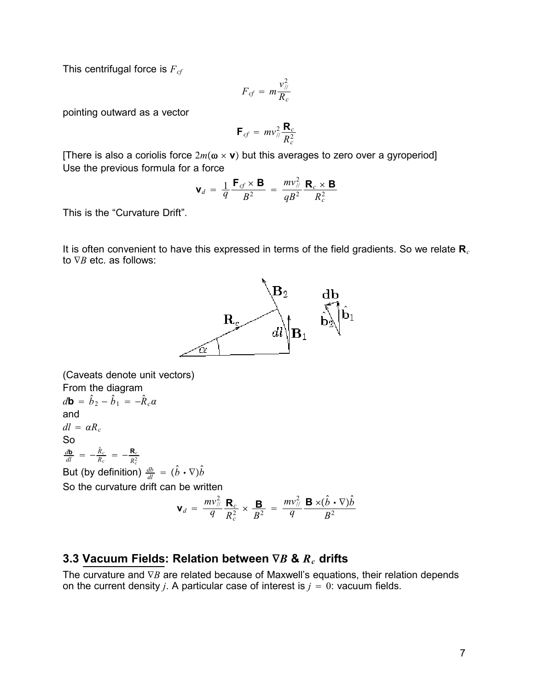This centrifugal force is  $F_{cf}$ 

$$
F_{cf} = m \frac{v_{\text{N}}^2}{R_c}
$$

pointing outward as a vector

$$
\mathbf{F}_{cf} = m v_{//}^2 \frac{\mathbf{R}_c}{R_c^2}
$$

[There is also a coriolis force  $2m(\omega \times v)$  but this averages to zero over a gyroperiod] Use the previous formula for a force

$$
\mathbf{V}_d = \frac{1}{q} \frac{\mathbf{F}_{cf} \times \mathbf{B}}{B^2} = \frac{m v_{//}^2}{q B^2} \frac{\mathbf{R}_c \times \mathbf{B}}{R_c^2}
$$

This is the "Curvature Drift".

It is often convenient to have this expressed in terms of the field gradients. So we relate **R***<sup>c</sup>* to ∇*B* etc. as follows:



(Caveats denote unit vectors) From the diagram  $d\mathbf{b} = \hat{b}_2 - \hat{b}_1 = -\hat{R}_c\alpha$ and  $dl = \alpha R_c$ So  $\frac{d\mathbf{b}}{dl} = -\frac{\hat{R}_c}{R_c} = -\frac{\mathbf{R}_c}{R_c^2}$ But (by definition)  $\frac{db}{dl} = (\hat{b} \cdot \nabla) \hat{b}$ So the curvature drift can be written 2 2

$$
\mathbf{V}_d = \frac{mv_{\mathcal{U}}^2}{q} \frac{\mathbf{R}_c}{R_c^2} \times \frac{\mathbf{B}}{B^2} = \frac{mv_{\mathcal{U}}^2}{q} \frac{\mathbf{B} \times (\hat{b} \cdot \nabla)\hat{b}}{B^2}
$$

### **3.3 Vacuum Fields: Relation between** ∇*B* **&** *Rc* **drifts**

The curvature and ∇*B* are related because of Maxwell's equations, their relation depends on the current density *j*. A particular case of interest is  $j = 0$ : vacuum fields.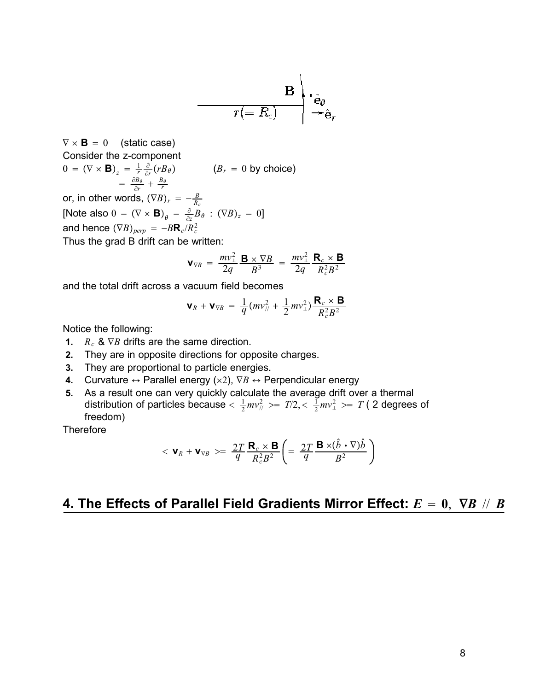$$
\overline{r(=R_c)} \overset{\mathbf{B}}{\longrightarrow} \begin{matrix} \hat{\mathbf{e}}_{\theta} \\ \hat{\mathbf{e}}_{\theta} \\ \hline \end{matrix}
$$

 $\nabla \times \mathbf{B} = 0$  (static case) Consider the z-component  $0 = (\nabla \times \mathbf{B})_z = \frac{1}{r} \frac{\partial}{\partial r} (r B_\theta)$   $(B_r = 0 \text{ by choice})$  $=\frac{\partial B_{\theta}}{\partial r} + \frac{B_{\theta}}{r}$ or, in other words,  $(\nabla B)_r = -\frac{B}{R_c}$ [Note also  $0 = (\nabla \times \mathbf{B})_{\theta} = \frac{\partial}{\partial z} B_{\theta} : (\nabla B)_{z} = 0$ ] and hence  $(\nabla B)_{perp} = -B$ **R**<sub>c</sub>/*R*<sup>2</sup><sub>c</sub>

Thus the grad B drift can be written:

$$
\mathbf{V}_{\nabla B} = \frac{mv_{\perp}^2}{2q} \frac{\mathbf{B} \times \nabla B}{B^3} = \frac{mv_{\perp}^2}{2q} \frac{\mathbf{R}_c \times \mathbf{B}}{R_c^2 B^2}
$$

and the total drift across a vacuum field becomes

$$
\mathbf{V}_R + \mathbf{V}_{\nabla B} = \frac{1}{q} (mv_{\n\pi}^2 + \frac{1}{2}mv_{\n\pi}^2) \frac{\mathbf{R}_c \times \mathbf{B}}{R_c^2 B^2}
$$

Notice the following:

- **1.**  $R_c$  &  $\nabla B$  drifts are the same direction.
- **2.** They are in opposite directions for opposite charges.
- **3.** They are proportional to particle energies.
- **4.** Curvature ↔ Parallel energy ( $\times$ 2),  $\nabla B$  ↔ Perpendicular energy
- **5.** As a result one can very quickly calculate the average drift over a thermal distribution of particles because  $<\frac{1}{2}mv_{\mathbb{Z}}^2>=T/2,<\frac{1}{2}mv_{\mathbb{Z}}^2>=T$  ( 2 degrees of freedom)

**Therefore** 

$$
<\mathbf{v}_R + \mathbf{v}_{\nabla B} > = \frac{2T}{q} \frac{\mathbf{R}_c \times \mathbf{B}}{R_c^2 B^2} \left( = \frac{2T}{q} \frac{\mathbf{B} \times (\hat{b} \cdot \nabla) \hat{b}}{B^2} \right)
$$

## **4. The Effects of Parallel Field Gradients Mirror Effect:** *E* **0**, ∇*B* // *B*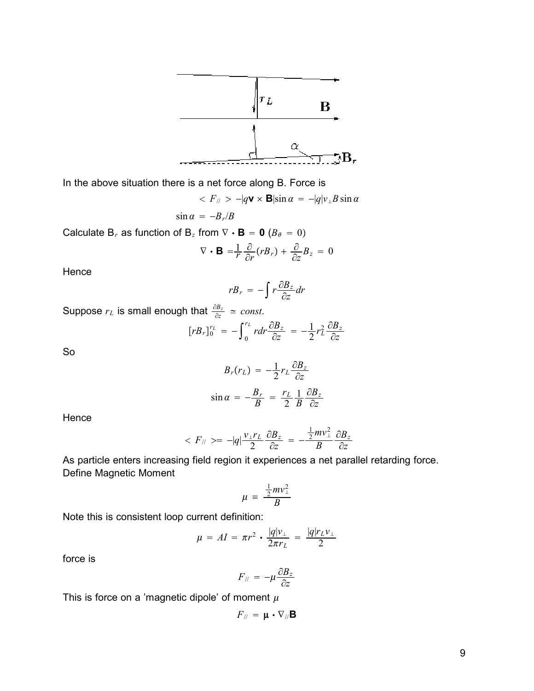

In the above situation there is a net force along B. Force is

$$
\langle F_{\parallel} \rangle - |q \mathbf{v} \times \mathbf{B}| \sin \alpha = -|q| v_{\perp} B \sin \alpha
$$

$$
\sin \alpha = -B_r/B
$$
  
Calculate B<sub>r</sub> as function of B<sub>z</sub> from  $\nabla \cdot \mathbf{B} = \mathbf{0}$  ( $B_\theta = 0$ )

$$
\nabla \cdot \mathbf{B} = \frac{1}{r} \frac{\partial}{\partial r} (r B_r) + \frac{\partial}{\partial z} B_z = 0
$$

**Hence** 

$$
rB_r = -\int r \frac{\partial B_z}{\partial z} dr
$$

Suppose  $r<sub>L</sub>$  is small enough that  $\frac{\partial B_z}{\partial z} \simeq const.$ 

$$
[rB_r]_0^{r_L} = -\int_0^{r_L} r dr \frac{\partial B_z}{\partial z} = -\frac{1}{2} r_L^2 \frac{\partial B_z}{\partial z}
$$

So

$$
B_r(r_L) = -\frac{1}{2}r_L \frac{\partial B_z}{\partial z}
$$
  

$$
\sin \alpha = -\frac{B_r}{B} = \frac{r_L}{2} \frac{1}{B} \frac{\partial B_z}{\partial z}
$$

Hence

$$
\langle F_{\parallel} \rangle = -|q| \frac{v_{\perp}r_L}{2} \frac{\partial B_z}{\partial z} = -\frac{\frac{1}{2}mv_{\perp}^2}{B} \frac{\partial B_z}{\partial z}
$$

As particle enters increasing field region it experiences a net parallel retarding force. Define Magnetic Moment

$$
\mu = \frac{\frac{1}{2}mv_{\perp}^2}{B}
$$

Note this is consistent loop current definition:

$$
\mu = AI = \pi r^2 \cdot \frac{|q|v_{\perp}}{2\pi r_L} = \frac{|q|r_L v_{\perp}}{2}
$$

force is

$$
F_{\parallel} = -\mu \frac{\partial B_z}{\partial z}
$$

This is force on a 'magnetic dipole' of moment  $\mu$ 

$$
F_{\mathcal{W}} = \mathbf{\mu} \cdot \nabla_{\mathcal{W}} \mathbf{B}
$$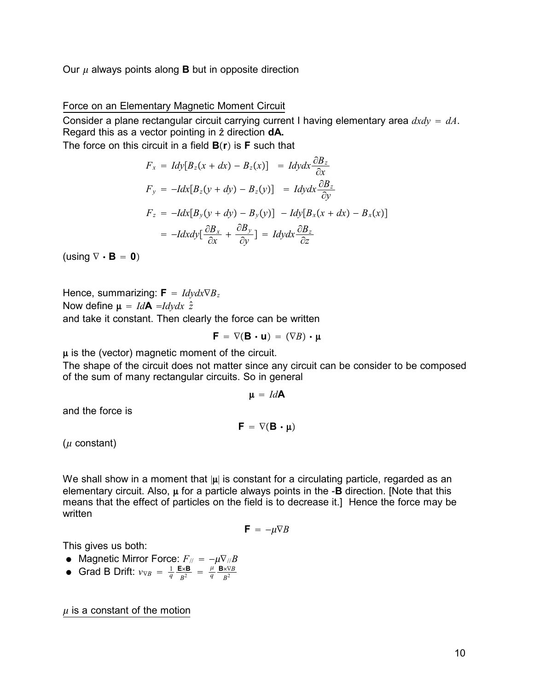Our  $\mu$  always points along **B** but in opposite direction

#### Force on an Elementary Magnetic Moment Circuit

Consider a plane rectangular circuit carrying current I having elementary area *dxdy dA*. Regard this as a vector pointing in  $\hat{z}$  direction **dA.** 

The force on this circuit in a field **Br**- is **F** such that

$$
F_x = Idy[B_z(x + dx) - B_z(x)] = Idydx \frac{\partial B_z}{\partial x}
$$
  
\n
$$
F_y = -Idx[B_z(y + dy) - B_z(y)] = Idydx \frac{\partial B_z}{\partial y}
$$
  
\n
$$
F_z = -Idx[B_y(y + dy) - B_y(y)] - Idy[B_x(x + dx) - B_x(x)]
$$
  
\n
$$
= -Idxdy[\frac{\partial B_x}{\partial x} + \frac{\partial B_y}{\partial y}] = Idydx \frac{\partial B_z}{\partial z}
$$

 $(\text{using } \nabla \cdot \mathbf{B} = \mathbf{0})$ 

Hence, summarizing:  $\mathbf{F} = \frac{Idv}{dx} \nabla B_z$ Now define  $\mu = IdA = Idv dx \hat{z}$ 

and take it constant. Then clearly the force can be written

$$
\bm{F} \ = \ \nabla (\bm{B} \bm{\cdot} \bm{u}) \ = \ (\nabla \mathit{B}) \bm{\cdot} \bm{\mu}
$$

 $\mu$  is the (vector) magnetic moment of the circuit.

The shape of the circuit does not matter since any circuit can be consider to be composed of the sum of many rectangular circuits. So in general

$$
\mu = \text{Id}A
$$

and the force is

$$
\bm{F}\,=\,\nabla(\bm{B}\,\bm{\cdot}\,\bm{\mu})
$$

 $(\mu \text{ constant})$ 

We shall show in a moment that  $|\mu|$  is constant for a circulating particle, regarded as an elementary circuit. Also,  $\mu$  for a particle always points in the -**B** direction. [Note that this means that the effect of particles on the field is to decrease it.] Hence the force may be written

$$
\mathbf{F} = -\mu \nabla B
$$

This gives us both:

- Magnetic Mirror Force:  $F_{\text{N}} = -\mu \nabla_{\text{N}} B$
- Grad B Drift:  $v_{\nabla B} = \frac{1}{q} \frac{\mathbf{E} \times \mathbf{B}}{B^2} = \frac{\mu}{q} \frac{\mathbf{B} \times \nabla B}{B^2}$ *B*2

 $\mu$  is a constant of the motion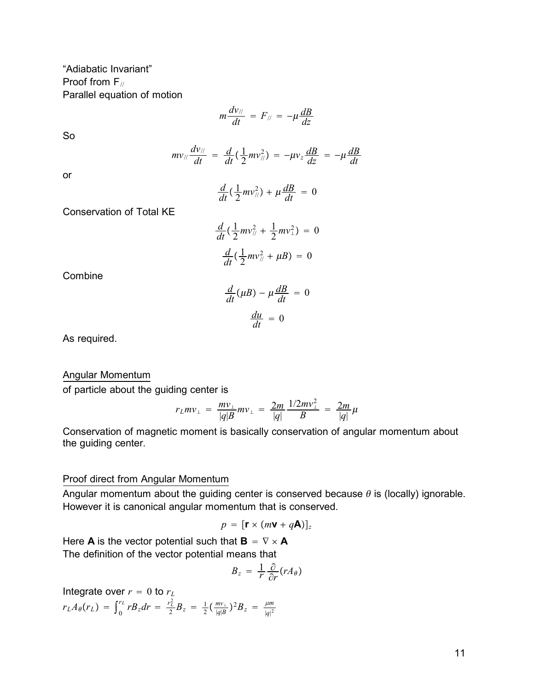"Adiabatic Invariant" Proof from  $F_{\text{II}}$ Parallel equation of motion

$$
m\frac{dv_{\parallel}}{dt}=F_{\parallel}=-\mu\frac{dB}{dz}
$$

So

$$
mv_{\parallel} \frac{dv_{\parallel}}{dt} = \frac{d}{dt} (\frac{1}{2}mv_{\parallel}^2) = -\mu v_z \frac{dB}{dz} = -\mu \frac{dB}{dt}
$$

or

$$
\frac{d}{dt}(\frac{1}{2}mv_{\text{N}}^2)+\mu\frac{dB}{dt}=0
$$

Conservation of Total KE

$$
\frac{d}{dt}(\frac{1}{2}mv_{\frac{1}{2}} + \frac{1}{2}mv_{\frac{1}{2}}) = 0
$$

$$
\frac{d}{dt}(\frac{1}{2}mv_{\frac{1}{2}} + \mu B) = 0
$$

Combine

$$
\frac{d}{dt}(\mu B) - \mu \frac{dB}{dt} = 0
$$

$$
\frac{du}{dt} = 0
$$

As required.

#### Angular Momentum

of particle about the guiding center is

$$
r_L m v_{\perp} = \frac{m v_{\perp}}{|q|B} m v_{\perp} = \frac{2m}{|q|} \frac{1/2m v_{\perp}^2}{B} = \frac{2m}{|q|} \mu
$$

Conservation of magnetic moment is basically conservation of angular momentum about the guiding center.

#### Proof direct from Angular Momentum

Angular momentum about the guiding center is conserved because  $\theta$  is (locally) ignorable. However it is canonical angular momentum that is conserved.

$$
p = [\mathbf{r} \times (m\mathbf{v} + q\mathbf{A})]_z
$$

Here **A** is the vector potential such that  $\mathbf{B} = \nabla \times \mathbf{A}$ The definition of the vector potential means that

$$
B_z = \frac{1}{r} \frac{\partial}{\partial r} (r A_\theta)
$$

Integrate over  $r = 0$  to  $r<sub>L</sub>$  $rLA_{\theta}(r_L) = \int_0^r$  $\int_0^{r_L} r B_z dr = \frac{r_L^2}{2} B_z = \frac{1}{2} (\frac{m v_{\perp}}{|q|B})^2 B_z = \frac{\mu m}{|q|^2}$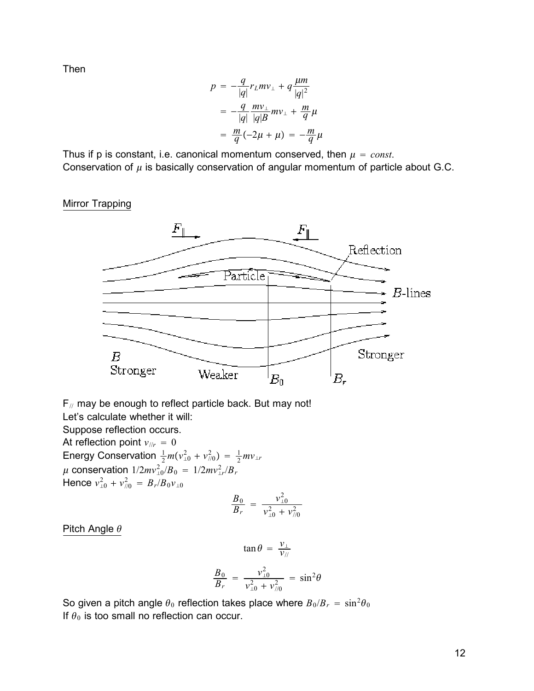Then

$$
p = -\frac{q}{|q|}r_L m v_{\perp} + q \frac{\mu m}{|q|^2}
$$
  
=  $-\frac{q}{|q|} \frac{m v_{\perp}}{|q| B} m v_{\perp} + \frac{m}{q} \mu$   
=  $\frac{m}{q} (-2\mu + \mu) = -\frac{m}{q} \mu$ 

Thus if p is constant, i.e. canonical momentum conserved, then  $\mu = const$ . Conservation of  $\mu$  is basically conservation of angular momentum of particle about G.C.

#### Mirror Trapping



 $F_{\text{II}}$  may be enough to reflect particle back. But may not!

Let's calculate whether it will:

Suppose reflection occurs.

At reflection point  $v_{\text{lin}} = 0$ 

Energy Conservation  $\frac{1}{2}m(v_{\perp 0}^2 + v_{\frac{\pi}{2}}^2) = \frac{1}{2}mv_{\perp r}$  $\mu$  conservation  $1/2mv_{\perp 0}^2/B_0 = 1/2mv_{\perp r}^2/B_r$ Hence  $v_{\perp 0}^2 + v_{\frac{7}{6}}^2 = B_r / B_0 v_{\perp 0}$ 

$$
\frac{B_0}{B_r} = \frac{v_{\perp 0}^2}{v_{\perp 0}^2 + v_{\parallel 0}^2}
$$

Pitch Angle  $\theta$ 

$$
\tan \theta = \frac{v_{\perp}}{v_{\parallel}}
$$

$$
\frac{B_0}{B_r} = \frac{v_{\perp 0}^2}{v_{\perp 0}^2 + v_{\parallel 0}^2} = \sin^2 \theta
$$

So given a pitch angle  $\theta_0$  reflection takes place where  $B_0/B_r = \sin^2\theta_0$ If  $\theta_0$  is too small no reflection can occur.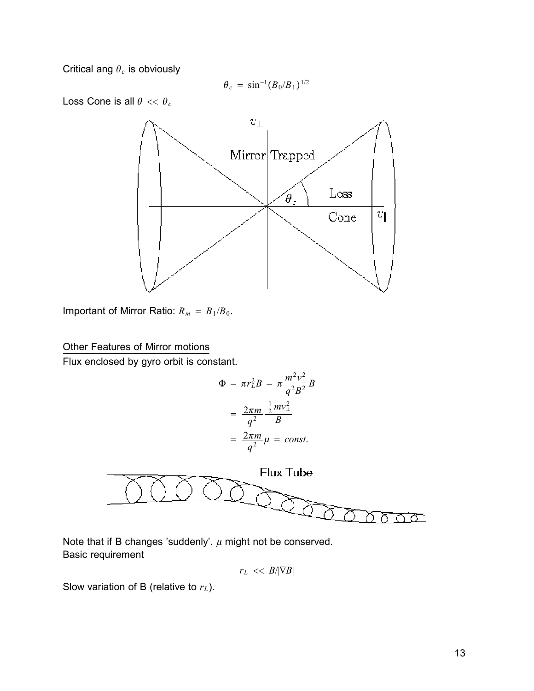Critical ang  $\theta_c$  is obviously

$$
\theta_c = \sin^{-1}(B_0/B_1)^{1/2}
$$

Loss Cone is all  $\theta \ll \theta_c$ 



Important of Mirror Ratio:  $R_m = B_1/B_0$ .

### Other Features of Mirror motions

Flux enclosed by gyro orbit is constant.

$$
\Phi = \pi r_L^2 B = \pi \frac{m^2 v_\perp^2}{q^2 B^2} B
$$

$$
= \frac{2\pi m}{q^2} \frac{\frac{1}{2} m v_\perp^2}{B}
$$

$$
= \frac{2\pi m}{q^2} \mu = const.
$$



Note that if B changes 'suddenly'.  $\mu$  might not be conserved. Basic requirement

$$
r_L \, << \, B/|\nabla B|
$$

Slow variation of B (relative to  $r<sub>L</sub>$ ).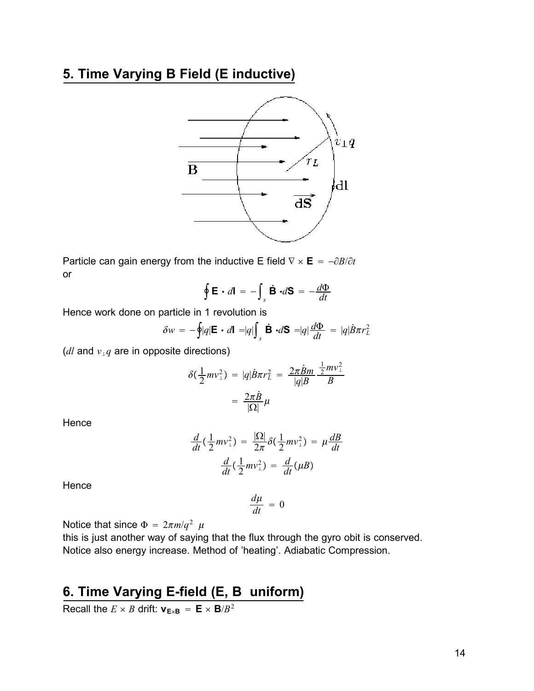# **5. Time Varying B Field (E inductive)**



Particle can gain energy from the inductive E field  $\nabla \times \mathbf{E} = -\frac{\partial B}{\partial t}$ or

$$
\oint \mathbf{E} \cdot d\mathbf{l} = -\int_{s} \dot{\mathbf{B}} \cdot d\mathbf{S} = -\frac{d\Phi}{dt}
$$

Hence work done on particle in 1 revolution is

$$
\delta w = -\oint |q| \mathbf{E} \cdot d\mathbf{l} = |q| \int_{s} \dot{\mathbf{B}} \cdot d\mathbf{S} = |q| \frac{d\Phi}{dt} = |q| \dot{B} \pi r_{L}^{2}
$$

(*dl* and  $v_{\perp}q$  are in opposite directions)

$$
\delta(\frac{1}{2}mv_{\perp}^2) = |q|\dot{B}\pi r_L^2 = \frac{2\pi\dot{B}m}{|q|B}\frac{\frac{1}{2}mv_{\perp}^2}{B}
$$

$$
= \frac{2\pi\dot{B}}{|\Omega|}\mu
$$

Hence

$$
\frac{d}{dt}(\frac{1}{2}mv_{\perp}^2) = \frac{|\Omega|}{2\pi}\delta(\frac{1}{2}mv_{\perp}^2) = \mu\frac{dB}{dt}
$$

$$
\frac{d}{dt}(\frac{1}{2}mv_{\perp}^2) = \frac{d}{dt}(\mu B)
$$

**Hence** 

$$
\frac{d\mu}{dt} = 0
$$

Notice that since  $\Phi = 2\pi m/q^2$   $\mu$ 

this is just another way of saying that the flux through the gyro obit is conserved. Notice also energy increase. Method of 'heating'. Adiabatic Compression.

# **6. Time Varying E-field (E, B uniform)**

Recall the  $E \times B$  drift:  $v_{E \times B} = E \times B/B^2$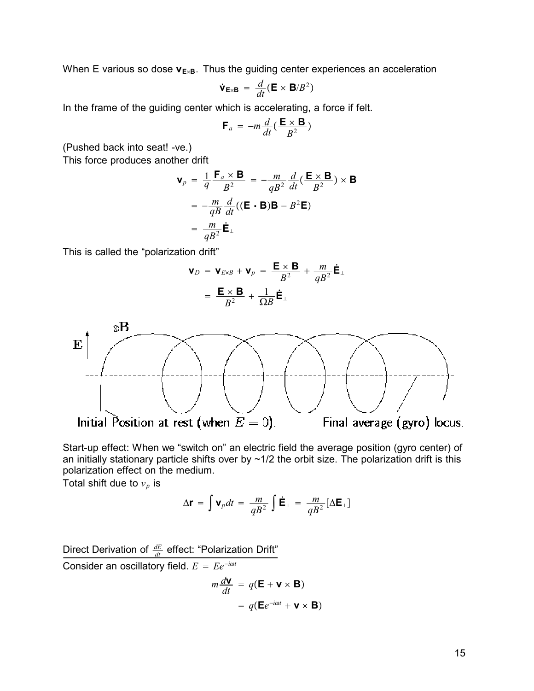When E various so dose  $v_{E\times B}$ . Thus the guiding center experiences an acceleration

$$
\dot{\mathbf{v}}_{\mathbf{E}\times\mathbf{B}} = \frac{d}{dt}(\mathbf{E} \times \mathbf{B}/B^2)
$$

In the frame of the guiding center which is accelerating, a force if felt.

$$
\mathbf{F}_a = -m \frac{d}{dt} (\frac{\mathbf{E} \times \mathbf{B}}{B^2})
$$

(Pushed back into seat! -ve.)

This force produces another drift

$$
\mathbf{v}_p = \frac{1}{q} \frac{\mathbf{F}_a \times \mathbf{B}}{B^2} = -\frac{m}{qB^2} \frac{d}{dt} (\frac{\mathbf{E} \times \mathbf{B}}{B^2}) \times \mathbf{B}
$$

$$
= -\frac{m}{qB} \frac{d}{dt} ((\mathbf{E} \cdot \mathbf{B})\mathbf{B} - B^2 \mathbf{E})
$$

$$
= \frac{m}{qB^2} \dot{\mathbf{E}}_{\perp}
$$

This is called the "polarization drift"

$$
\mathbf{v}_D = \mathbf{v}_{E \times B} + \mathbf{v}_p = \frac{\mathbf{E} \times \mathbf{B}}{B^2} + \frac{m}{qB^2} \dot{\mathbf{E}}_{\perp}
$$

$$
= \frac{\mathbf{E} \times \mathbf{B}}{B^2} + \frac{1}{\Omega B} \dot{\mathbf{E}}_{\perp}
$$



Start-up effect: When we "switch on" an electric field the average position (gyro center) of an initially stationary particle shifts over by  $\sim 1/2$  the orbit size. The polarization drift is this polarization effect on the medium.

Total shift due to  $v_p$  is

$$
\Delta \mathbf{r} = \int \mathbf{v}_p dt = \frac{m}{qB^2} \int \dot{\mathbf{E}}_{\perp} = \frac{m}{qB^2} [\Delta \mathbf{E}_{\perp}]
$$

Direct Derivation of  $\frac{dE}{dt}$  effect: "Polarization Drift" Consider an oscillatory field.  $E = Ee^{-i\omega t}$  $m \frac{d\mathbf{v}}{dt} = q(\mathbf{E} + \mathbf{v} \times \mathbf{B})$  $= q(\mathbf{E}e^{-i\omega t} + \mathbf{v} \times \mathbf{B})$ 

15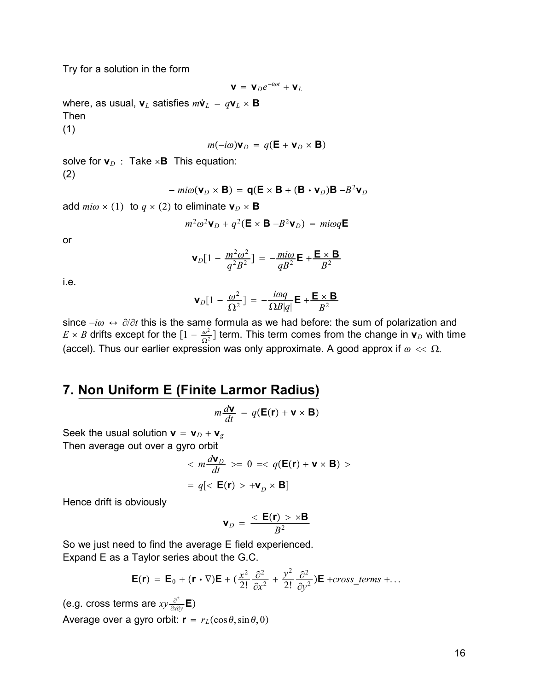Try for a solution in the form

$$
\mathbf{V} = \mathbf{V}_D e^{-i\omega t} + \mathbf{V}_L
$$

where, as usual,  $\mathbf{v}_L$  satisfies  $m\dot{\mathbf{v}}_L = q\mathbf{v}_L \times \mathbf{B}$ Then (1)

$$
m(-i\omega)\mathbf{v}_D = q(\mathbf{E} + \mathbf{v}_D \times \mathbf{B})
$$

solve for  $\mathbf{v}_D$  : Take  $\times$ **B** This equation: (2)

$$
- mi\omega(\mathbf{v}_D \times \mathbf{B}) = \mathbf{q}(\mathbf{E} \times \mathbf{B} + (\mathbf{B} \cdot \mathbf{v}_D)\mathbf{B} - B^2 \mathbf{v}_D)
$$

add  $m i \omega \times (1)$  to  $q \times (2)$  to eliminate  $\mathbf{v}_D \times \mathbf{B}$ 

$$
m^2\omega^2\mathbf{V}_D + q^2(\mathbf{E} \times \mathbf{B} - B^2\mathbf{V}_D) = mi\omega q\mathbf{E}
$$

or

$$
\mathbf{v}_D[1 - \frac{m^2 \omega^2}{q^2 B^2}] = -\frac{m i \omega}{q B^2} \mathbf{E} + \frac{\mathbf{E} \times \mathbf{B}}{B^2}
$$

i.e.

$$
\mathbf{v}_D[1-\frac{\omega^2}{\Omega^2}] = -\frac{i\omega q}{\Omega B|q|} \mathbf{E} + \frac{\mathbf{E} \times \mathbf{B}}{B^2}
$$

since  $-i\omega \leftrightarrow \partial/\partial t$  this is the same formula as we had before: the sum of polarization and  $E \times B$  drifts except for the  $[1 - \frac{\omega^2}{\Omega^2}]$  term. This term comes from the change in  $\mathbf{v}_D$  with time (accel). Thus our earlier expression was only approximate. A good approx if  $\omega \ll \Omega$ .

## **7. Non Uniform E (Finite Larmor Radius)**

$$
m\frac{d\mathbf{v}}{dt} = q(\mathbf{E}(\mathbf{r}) + \mathbf{v} \times \mathbf{B})
$$

Seek the usual solution  $\mathbf{v} = \mathbf{v}_D + \mathbf{v}_g$ Then average out over a gyro orbit

$$
\langle m \frac{d\mathbf{v}_D}{dt} \rangle = 0 \implies q(\mathbf{E}(\mathbf{r}) + \mathbf{v} \times \mathbf{B}) \rangle
$$

$$
= q[\langle \mathbf{E}(\mathbf{r}) \rangle + \mathbf{v}_D \times \mathbf{B}]
$$

Hence drift is obviously

$$
\mathbf{v}_D = \frac{<\mathbf{E}(\mathbf{r}) > \times \mathbf{B}}{B^2}
$$

So we just need to find the average E field experienced. Expand E as a Taylor series about the G.C.

$$
\mathbf{E}(\mathbf{r}) = \mathbf{E}_0 + (\mathbf{r} \cdot \nabla)\mathbf{E} + (\frac{x^2}{2!} \frac{\partial^2}{\partial x^2} + \frac{y^2}{2!} \frac{\partial^2}{\partial y^2})\mathbf{E} + \text{cross\_terms} + \dots
$$

(e.g. cross terms are *xy* <sup>∂</sup><sup>2</sup> ∂*x*∂*y* **E** Average over a gyro orbit:  $\mathbf{r} = r_L(\cos \theta, \sin \theta, 0)$